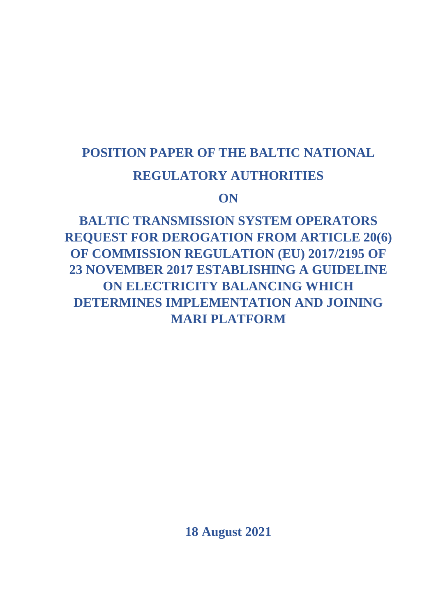# **POSITION PAPER OF THE BALTIC NATIONAL REGULATORY AUTHORITIES**

**ON**

**BALTIC TRANSMISSION SYSTEM OPERATORS REQUEST FOR DEROGATION FROM ARTICLE 20(6) OF COMMISSION REGULATION (EU) 2017/2195 OF 23 NOVEMBER 2017 ESTABLISHING A GUIDELINE ON ELECTRICITY BALANCING WHICH DETERMINES IMPLEMENTATION AND JOINING MARI PLATFORM**

**18 August 2021**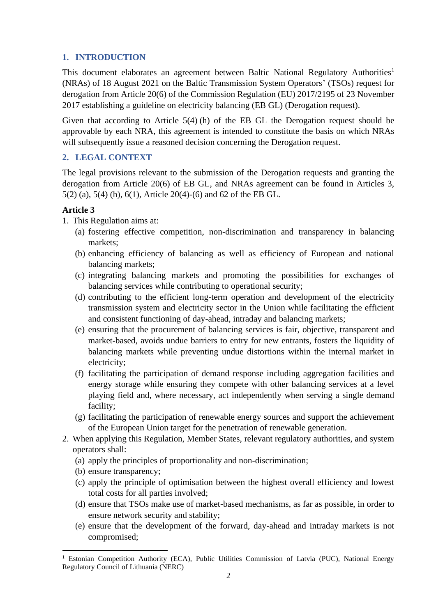## **1. INTRODUCTION**

This document elaborates an agreement between Baltic National Regulatory Authorities<sup>1</sup> (NRAs) of 18 August 2021 on the Baltic Transmission System Operators' (TSOs) request for derogation from Article 20(6) of the Commission Regulation (EU) 2017/2195 of 23 November 2017 establishing a guideline on electricity balancing (EB GL) (Derogation request).

Given that according to Article 5(4) (h) of the EB GL the Derogation request should be approvable by each NRA, this agreement is intended to constitute the basis on which NRAs will subsequently issue a reasoned decision concerning the Derogation request.

# **2. LEGAL CONTEXT**

The legal provisions relevant to the submission of the Derogation requests and granting the derogation from Article 20(6) of EB GL, and NRAs agreement can be found in Articles 3, 5(2) (a), 5(4) (h), 6(1), Article 20(4)-(6) and 62 of the EB GL.

# **Article 3**

1. This Regulation aims at:

- (a) fostering effective competition, non-discrimination and transparency in balancing markets;
- (b) enhancing efficiency of balancing as well as efficiency of European and national balancing markets;
- (c) integrating balancing markets and promoting the possibilities for exchanges of balancing services while contributing to operational security;
- (d) contributing to the efficient long-term operation and development of the electricity transmission system and electricity sector in the Union while facilitating the efficient and consistent functioning of day-ahead, intraday and balancing markets;
- (e) ensuring that the procurement of balancing services is fair, objective, transparent and market-based, avoids undue barriers to entry for new entrants, fosters the liquidity of balancing markets while preventing undue distortions within the internal market in electricity;
- (f) facilitating the participation of demand response including aggregation facilities and energy storage while ensuring they compete with other balancing services at a level playing field and, where necessary, act independently when serving a single demand facility;
- (g) facilitating the participation of renewable energy sources and support the achievement of the European Union target for the penetration of renewable generation.
- 2. When applying this Regulation, Member States, relevant regulatory authorities, and system operators shall:
	- (a) apply the principles of proportionality and non-discrimination;
	- (b) ensure transparency;
	- (c) apply the principle of optimisation between the highest overall efficiency and lowest total costs for all parties involved;
	- (d) ensure that TSOs make use of market-based mechanisms, as far as possible, in order to ensure network security and stability;
	- (e) ensure that the development of the forward, day-ahead and intraday markets is not compromised;

<sup>&</sup>lt;sup>1</sup> Estonian Competition Authority (ECA), Public Utilities Commission of Latvia (PUC), National Energy Regulatory Council of Lithuania (NERC)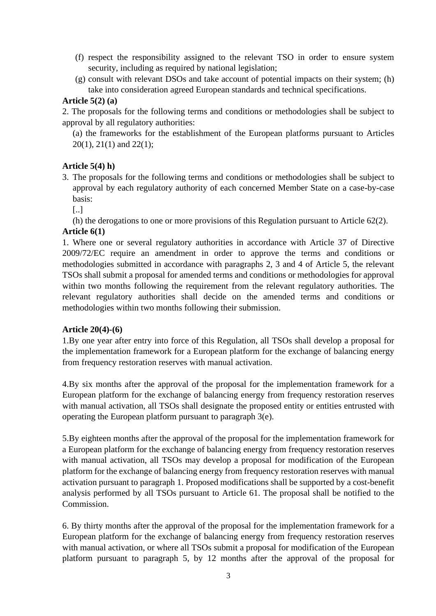- (f) respect the responsibility assigned to the relevant TSO in order to ensure system security, including as required by national legislation;
- (g) consult with relevant DSOs and take account of potential impacts on their system; (h) take into consideration agreed European standards and technical specifications.

# **Article 5(2) (a)**

2. The proposals for the following terms and conditions or methodologies shall be subject to approval by all regulatory authorities:

(a) the frameworks for the establishment of the European platforms pursuant to Articles 20(1), 21(1) and 22(1);

# **Article 5(4) h)**

- 3. The proposals for the following terms and conditions or methodologies shall be subject to approval by each regulatory authority of each concerned Member State on a case-by-case basis:
	- [..]

(h) the derogations to one or more provisions of this Regulation pursuant to Article 62(2).

#### **Article 6(1)**

1. Where one or several regulatory authorities in accordance with Article 37 of Directive 2009/72/EC require an amendment in order to approve the terms and conditions or methodologies submitted in accordance with paragraphs 2, 3 and 4 of Article 5, the relevant TSOs shall submit a proposal for amended terms and conditions or methodologies for approval within two months following the requirement from the relevant regulatory authorities. The relevant regulatory authorities shall decide on the amended terms and conditions or methodologies within two months following their submission.

## **Article 20(4)-(6)**

1.By one year after entry into force of this Regulation, all TSOs shall develop a proposal for the implementation framework for a European platform for the exchange of balancing energy from frequency restoration reserves with manual activation.

4.By six months after the approval of the proposal for the implementation framework for a European platform for the exchange of balancing energy from frequency restoration reserves with manual activation, all TSOs shall designate the proposed entity or entities entrusted with operating the European platform pursuant to paragraph 3(e).

5.By eighteen months after the approval of the proposal for the implementation framework for a European platform for the exchange of balancing energy from frequency restoration reserves with manual activation, all TSOs may develop a proposal for modification of the European platform for the exchange of balancing energy from frequency restoration reserves with manual activation pursuant to paragraph 1. Proposed modifications shall be supported by a cost-benefit analysis performed by all TSOs pursuant to Article 61. The proposal shall be notified to the Commission.

6. By thirty months after the approval of the proposal for the implementation framework for a European platform for the exchange of balancing energy from frequency restoration reserves with manual activation, or where all TSOs submit a proposal for modification of the European platform pursuant to paragraph 5, by 12 months after the approval of the proposal for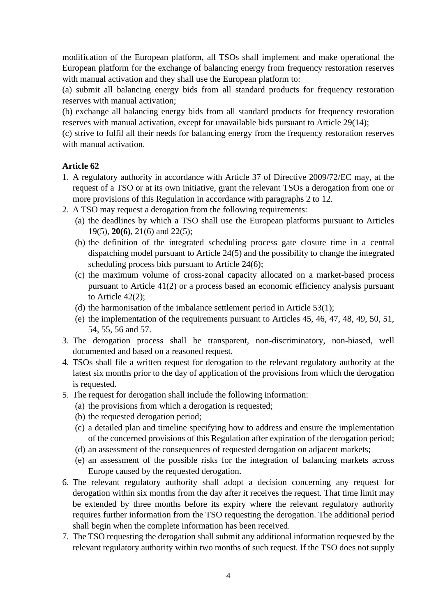modification of the European platform, all TSOs shall implement and make operational the European platform for the exchange of balancing energy from frequency restoration reserves with manual activation and they shall use the European platform to:

(a) submit all balancing energy bids from all standard products for frequency restoration reserves with manual activation;

(b) exchange all balancing energy bids from all standard products for frequency restoration reserves with manual activation, except for unavailable bids pursuant to Article 29(14);

(c) strive to fulfil all their needs for balancing energy from the frequency restoration reserves with manual activation.

# **Article 62**

- 1. A regulatory authority in accordance with Article 37 of Directive 2009/72/EC may, at the request of a TSO or at its own initiative, grant the relevant TSOs a derogation from one or more provisions of this Regulation in accordance with paragraphs 2 to 12.
- 2. A TSO may request a derogation from the following requirements:
	- (a) the deadlines by which a TSO shall use the European platforms pursuant to Articles 19(5), **20(6)**, 21(6) and 22(5);
	- (b) the definition of the integrated scheduling process gate closure time in a central dispatching model pursuant to Article 24(5) and the possibility to change the integrated scheduling process bids pursuant to Article 24(6);
	- (c) the maximum volume of cross-zonal capacity allocated on a market-based process pursuant to Article 41(2) or a process based an economic efficiency analysis pursuant to Article 42(2);
	- (d) the harmonisation of the imbalance settlement period in Article 53(1);
	- (e) the implementation of the requirements pursuant to Articles 45, 46, 47, 48, 49, 50, 51, 54, 55, 56 and 57.
- 3. The derogation process shall be transparent, non-discriminatory, non-biased, well documented and based on a reasoned request.
- 4. TSOs shall file a written request for derogation to the relevant regulatory authority at the latest six months prior to the day of application of the provisions from which the derogation is requested.
- 5. The request for derogation shall include the following information:
	- (a) the provisions from which a derogation is requested;
	- (b) the requested derogation period;
	- (c) a detailed plan and timeline specifying how to address and ensure the implementation of the concerned provisions of this Regulation after expiration of the derogation period;
	- (d) an assessment of the consequences of requested derogation on adjacent markets;
	- (e) an assessment of the possible risks for the integration of balancing markets across Europe caused by the requested derogation.
- 6. The relevant regulatory authority shall adopt a decision concerning any request for derogation within six months from the day after it receives the request. That time limit may be extended by three months before its expiry where the relevant regulatory authority requires further information from the TSO requesting the derogation. The additional period shall begin when the complete information has been received.
- 7. The TSO requesting the derogation shall submit any additional information requested by the relevant regulatory authority within two months of such request. If the TSO does not supply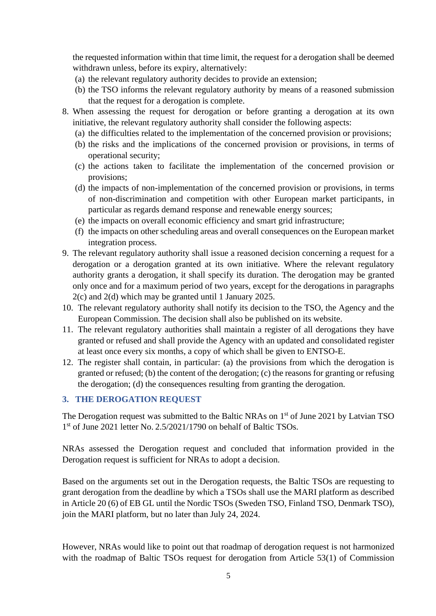the requested information within that time limit, the request for a derogation shall be deemed withdrawn unless, before its expiry, alternatively:

- (a) the relevant regulatory authority decides to provide an extension;
- (b) the TSO informs the relevant regulatory authority by means of a reasoned submission that the request for a derogation is complete.
- 8. When assessing the request for derogation or before granting a derogation at its own initiative, the relevant regulatory authority shall consider the following aspects:
	- (a) the difficulties related to the implementation of the concerned provision or provisions;
	- (b) the risks and the implications of the concerned provision or provisions, in terms of operational security;
	- (c) the actions taken to facilitate the implementation of the concerned provision or provisions;
	- (d) the impacts of non-implementation of the concerned provision or provisions, in terms of non-discrimination and competition with other European market participants, in particular as regards demand response and renewable energy sources;
	- (e) the impacts on overall economic efficiency and smart grid infrastructure;
	- (f) the impacts on other scheduling areas and overall consequences on the European market integration process.
- 9. The relevant regulatory authority shall issue a reasoned decision concerning a request for a derogation or a derogation granted at its own initiative. Where the relevant regulatory authority grants a derogation, it shall specify its duration. The derogation may be granted only once and for a maximum period of two years, except for the derogations in paragraphs 2(c) and 2(d) which may be granted until 1 January 2025.
- 10. The relevant regulatory authority shall notify its decision to the TSO, the Agency and the European Commission. The decision shall also be published on its website.
- 11. The relevant regulatory authorities shall maintain a register of all derogations they have granted or refused and shall provide the Agency with an updated and consolidated register at least once every six months, a copy of which shall be given to ENTSO-E.
- 12. The register shall contain, in particular: (a) the provisions from which the derogation is granted or refused; (b) the content of the derogation; (c) the reasons for granting or refusing the derogation; (d) the consequences resulting from granting the derogation.

#### **3. THE DEROGATION REQUEST**

The Derogation request was submitted to the Baltic NRAs on 1<sup>st</sup> of June 2021 by Latvian TSO 1<sup>st</sup> of June 2021 letter No. 2.5/2021/1790 on behalf of Baltic TSOs.

NRAs assessed the Derogation request and concluded that information provided in the Derogation request is sufficient for NRAs to adopt a decision.

Based on the arguments set out in the Derogation requests, the Baltic TSOs are requesting to grant derogation from the deadline by which a TSOs shall use the MARI platform as described in Article 20 (6) of EB GL until the Nordic TSOs (Sweden TSO, Finland TSO, Denmark TSO), join the MARI platform, but no later than July 24, 2024.

However, NRAs would like to point out that roadmap of derogation request is not harmonized with the roadmap of Baltic TSOs request for derogation from Article 53(1) of Commission